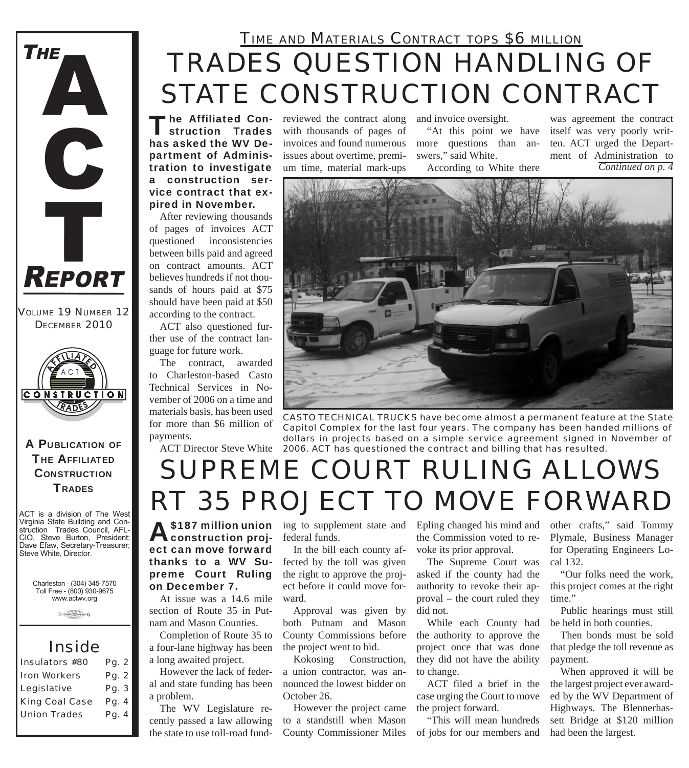

#### *VOLUME 19 NUMBER 12 DECEMBER 2010*



A PUBLICATION OF **THE AFFILIATED CONSTRUCTION TRADES** 

ACT is a division of The West Virginia State Building and Construction Trades Council, AFL-CIO. Steve Burton, President; Dave Efaw, Secretary-Treasurer; Steve White, Director.

Charleston - (304) 345-7570 Toll Free - (800) 930-9675 www.actwv.org

 $A$  (TRADES (WITH CONNECT)  $6$ 

### *Inside*

| Pg. 2 |
|-------|
| Pg. 2 |
| Pg. 3 |
| Pg. 4 |
| Pg. 4 |
|       |

# *TRADES QUESTION HANDLING OF STATE CONSTRUCTION CONTRACT TIME AND MATERIALS CONTRACT TOPS \$6 MILLION*

The Affiliated Con-<br>
reviewed the contract along<br>
struction Trades with thousands of pages of struction Trades has asked the WV Department of Administration to investigate a construction service contract that expired in November.

After reviewing thousands of pages of invoices ACT questioned inconsistencies between bills paid and agreed on contract amounts. ACT believes hundreds if not thousands of hours paid at \$75 should have been paid at \$50 according to the contract.

ACT also questioned further use of the contract language for future work.

The contract, awarded to Charleston-based Casto Technical Services in November of 2006 on a time and materials basis, has been used for more than \$6 million of payments.

with thousands of pages of invoices and found numerous issues about overtime, premium time, material mark-ups

and invoice oversight.

"At this point we have more questions than answers," said White.

According to White there

*Continued on p. 4* was agreement the contract itself was very poorly written. ACT urged the Department of Administration to



ACT Director Steve White *2006. ACT has questioned the contract and billing that has resulted. CASTO TECHNICAL TRUCKS have become almost a permanent feature at the State Capitol Complex for the last four years. The company has been handed millions of dollars in projects based on a simple service agreement signed in November of* 

# *SUPREME COURT RULING ALLOWS RT 35 PROJECT TO MOVE FORWARD*

**A** \$187 million union ing to supplement state and construction proj-<br>
decay federal funds. construction project can move forward thanks to a WV Supreme Court Ruling on December 7.

At issue was a 14.6 mile section of Route 35 in Putnam and Mason Counties.

Completion of Route 35 to a four-lane highway has been a long awaited project.

However the lack of federal and state funding has been a problem.

The WV Legislature recently passed a law allowing the state to use toll-road fundfederal funds.

In the bill each county affected by the toll was given the right to approve the project before it could move forward.

Approval was given by both Putnam and Mason County Commissions before the project went to bid.

Kokosing Construction, a union contractor, was announced the lowest bidder on October 26.

However the project came to a standstill when Mason County Commissioner Miles Epling changed his mind and the Commission voted to revoke its prior approval.

The Supreme Court was asked if the county had the authority to revoke their approval – the court ruled they did not.

While each County had the authority to approve the project once that was done they did not have the ability to change.

ACT filed a brief in the case urging the Court to move the project forward.

"This will mean hundreds of jobs for our members and other crafts," said Tommy Plymale, Business Manager for Operating Engineers Local 132.

"Our folks need the work, this project comes at the right time."

Public hearings must still be held in both counties.

Then bonds must be sold that pledge the toll revenue as payment.

When approved it will be the largest project ever awarded by the WV Department of Highways. The Blennerhassett Bridge at \$120 million had been the largest.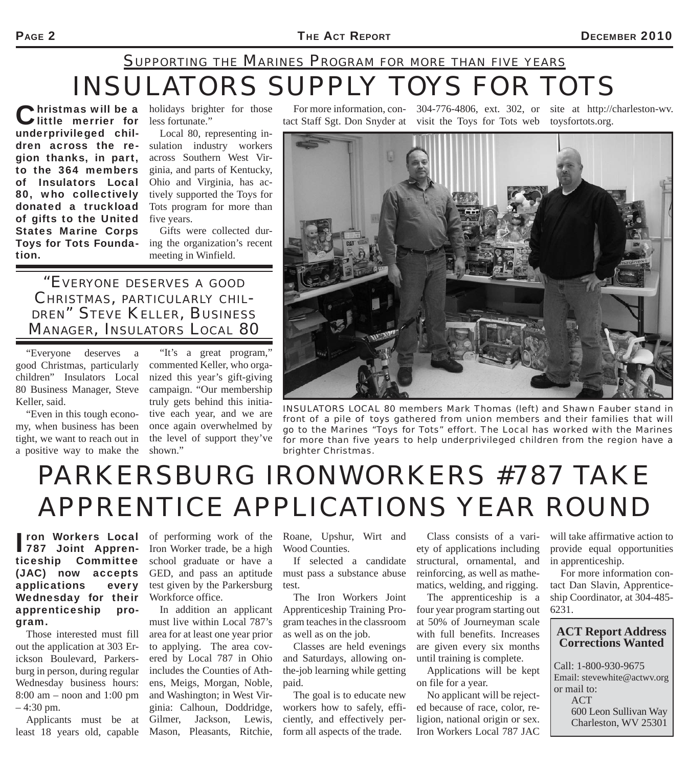## *INSULATORS SUPPLY TOYS FOR TOTS SUPPORTING THE MARINES PROGRAM FOR MORE THAN FIVE YEARS*

Christmas will be a<br>Clittle merrier for underprivileged children across the region thanks, in part, to the 364 members of Insulators Local 80, who collectively donated a truckload of gifts to the United States Marine Corps Toys for Tots Foundation.

Infirity has will be a holidays brighter for those less fortunate."

> Local 80, representing insulation industry workers across Southern West Virginia, and parts of Kentucky, Ohio and Virginia, has actively supported the Toys for Tots program for more than five years.

> Gifts were collected during the organization's recent meeting in Winfield.

*"EVERYONE DESERVES <sup>A</sup> GOOD CHRISTMAS, PARTICULARLY CHIL-DREN" STEVE KELLER, BUSINESS MANAGER, INSULATORS LOCAL 80*

"Everyone deserves a good Christmas, particularly children" Insulators Local 80 Business Manager, Steve Keller, said.

"Even in this tough economy, when business has been tight, we want to reach out in a positive way to make the

"It's a great program," commented Keller, who organized this year's gift-giving campaign. "Our membership truly gets behind this initiative each year, and we are once again overwhelmed by the level of support they've shown."

For more information, con-304-776-4806, ext. 302, or site at http://charleston-wv. tact Staff Sgt. Don Snyder at visit the Toys for Tots web

toysfortots.org.



**INSULATORS LOCAL 80 members Mark Thomas (left) and Shawn Fauber stand in** *front of a pile of toys gathered from union members and their families that will go to the Marines "Toys for Tots" effort. The Local has worked with the Marines*  for more than five years to help underprivileged children from the region have a *brighter Christmas.*

# *PARKERSBURG IRONWORKERS #787 TAKE APPRENTICE APPLICATIONS YEAR ROUND*

ron Workers Local<br>787 Joint Apprenron Workers Local ticeship Committee (JAC) now accepts applications every Wednesday for their apprenticeship program.

Those interested must fill out the application at 303 Erickson Boulevard, Parkersburg in person, during regular Wednesday business hours: 8:00 am – noon and 1:00 pm  $-4:30$  pm.

Applicants must be at least 18 years old, capable

of performing work of the Iron Worker trade, be a high school graduate or have a GED, and pass an aptitude test given by the Parkersburg Workforce office.

In addition an applicant must live within Local 787's area for at least one year prior to applying. The area covered by Local 787 in Ohio includes the Counties of Athens, Meigs, Morgan, Noble, and Washington; in West Virginia: Calhoun, Doddridge, Gilmer, Jackson, Lewis, Mason, Pleasants, Ritchie,

Roane, Upshur, Wirt and Wood Counties.

If selected a candidate must pass a substance abuse test.

The Iron Workers Joint Apprenticeship Training Program teaches in the classroom as well as on the job.

Classes are held evenings and Saturdays, allowing onthe-job learning while getting paid.

The goal is to educate new workers how to safely, efficiently, and effectively perform all aspects of the trade.

Class consists of a variety of applications including structural, ornamental, and reinforcing, as well as mathematics, welding, and rigging.

The apprenticeship is a four year program starting out at 50% of Journeyman scale with full benefits. Increases are given every six months until training is complete.

Applications will be kept on file for a year.

No applicant will be rejected because of race, color, religion, national origin or sex. Iron Workers Local 787 JAC

will take affirmative action to provide equal opportunities in apprenticeship.

For more information contact Dan Slavin, Apprenticeship Coordinator, at 304-485- 6231.

#### **ACT Report Address Corrections Wanted**

Call: 1-800-930-9675 Email: stevewhite@actwv.org or mail to: ACT 600 Leon Sullivan Way Charleston, WV 25301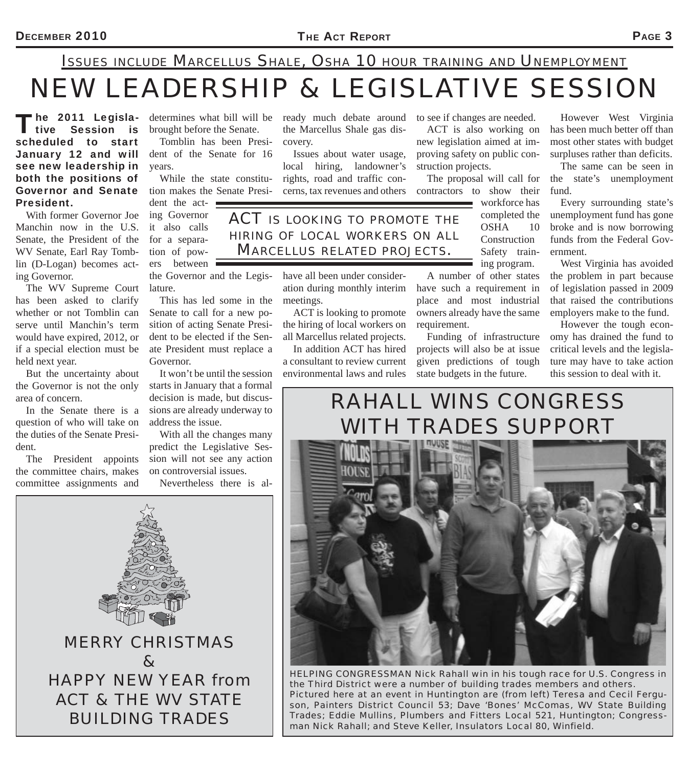## *NEW LEADERSHIP & LEGISLATIVE SESSION ISSUES INCLUDE MARCELLUS SHALE, OSHA 10 HOUR TRAINING AND UNEMPLOYMENT*

The 2011 Legisla-<br>Tive Session is scheduled to start January 12 and will see new leadership in both the positions of Governor and Senate tion makes the Senate Presi-President.

With former Governor Joe Manchin now in the U.S. Senate, the President of the WV Senate, Earl Ray Tomblin (D-Logan) becomes acting Governor.

The WV Supreme Court has been asked to clarify whether or not Tomblin can serve until Manchin's term would have expired, 2012, or if a special election must be held next year.

But the uncertainty about the Governor is not the only area of concern.

In the Senate there is a question of who will take on the duties of the Senate President.

The President appoints the committee chairs, makes committee assignments and

brought before the Senate.

Tomblin has been President of the Senate for 16 years.

While the state constitu-

dent the act- $\blacksquare$ ing Governor it also calls for a separation of pow $ers$  between  $\blacksquare$ 

the Governor and the Legislature.

This has led some in the Senate to call for a new position of acting Senate President to be elected if the Senate President must replace a Governor.

It won't be until the session starts in January that a formal decision is made, but discussions are already underway to address the issue.

With all the changes many predict the Legislative Session will not see any action on controversial issues.

Nevertheless there is al-

determines what bill will be ready much debate around to see if changes are needed. the Marcellus Shale gas discovery.

> Issues about water usage, local hiring, landowner's rights, road and traffic concerns, tax revenues and others

*ACT IS LOOKING TO PROMOTE THE HIRING OF LOCAL WORKERS ON ALL MARCELLUS RELATED PROJECTS.*

> have all been under consideration during monthly interim meetings.

ACT is looking to promote the hiring of local workers on all Marcellus related projects.

In addition ACT has hired a consultant to review current environmental laws and rules

ACT is also working on new legislation aimed at improving safety on public construction projects.

The proposal will call for contractors to show their

A number of other states have such a requirement in place and most industrial owners already have the same

Funding of infrastructure projects will also be at issue given predictions of tough state budgets in the future.

workforce has completed the OSHA 10 Construction Safety training program.

However West Virginia has been much better off than most other states with budget surpluses rather than deficits.

The same can be seen in the state's unemployment fund.

Every surrounding state's unemployment fund has gone broke and is now borrowing funds from the Federal Government.

West Virginia has avoided the problem in part because of legislation passed in 2009 that raised the contributions employers make to the fund.

However the tough economy has drained the fund to critical levels and the legislature may have to take action this session to deal with it.

### *RAHALL WINS CONGRESS WITH TRADES SUPPORT*

requirement.



*HELPING CONGRESSMAN Nick Rahall win in his tough race for U.S. Congress in the Third District were a number of building trades members and others. Pictured here at an event in Huntington are (from left) Teresa and Cecil Ferguson, Painters District Council 53; Dave 'Bones' McComas, WV State Building Trades; Eddie Mullins, Plumbers and Fitters Local 521, Huntington; Congressman Nick Rahall; and Steve Keller, Insulators Local 80, Winfield.*